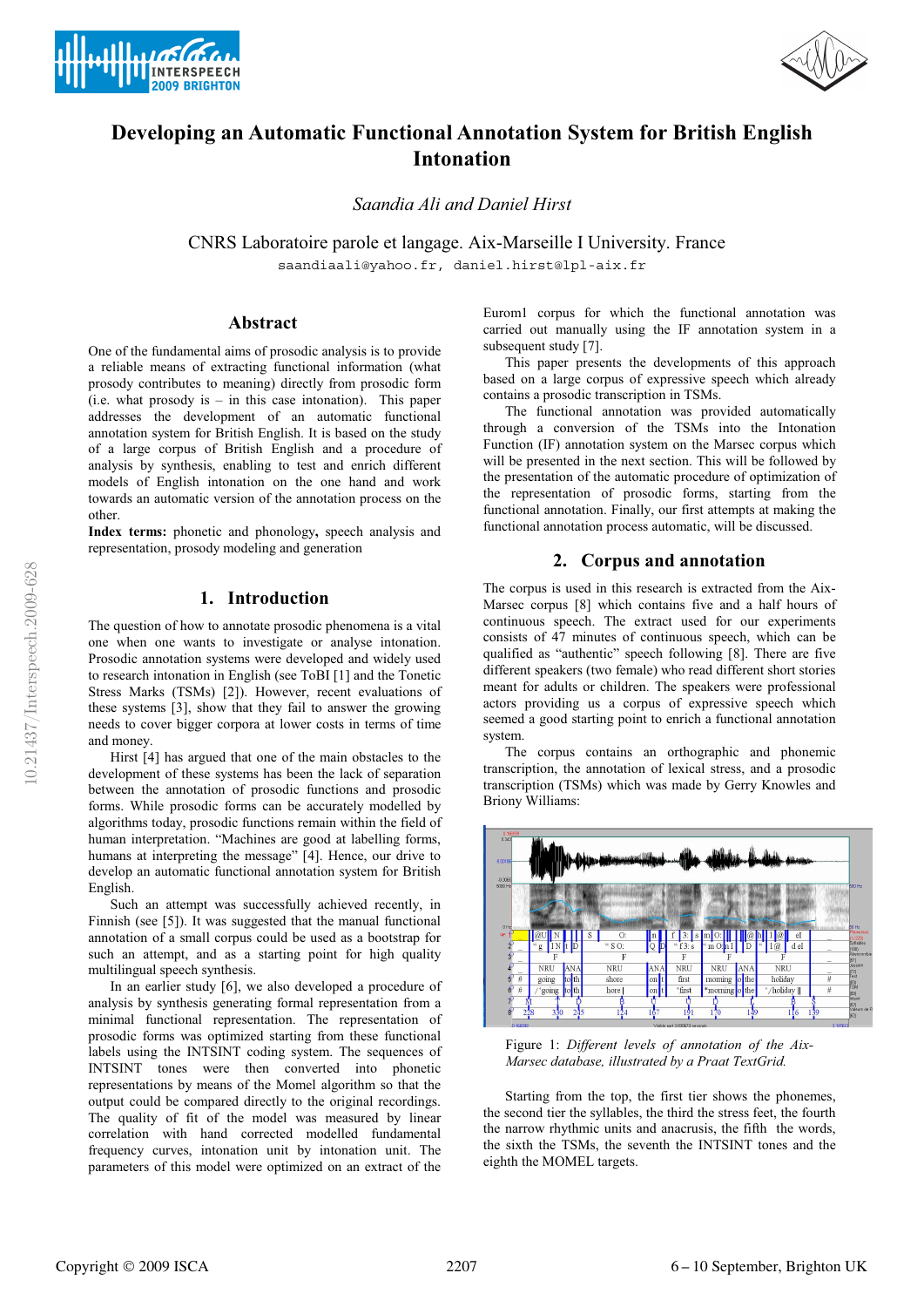



# **Developing an Automatic Functional Annotation System for British English Intonation**

*Saandia Ali and Daniel Hirst* 

CNRS Laboratoire parole et langage. Aix-Marseille I University. France saandiaali@yahoo.fr, daniel.hirst@lpl-aix.fr

## **Abstract**

One of the fundamental aims of prosodic analysis is to provide a reliable means of extracting functional information (what prosody contributes to meaning) directly from prosodic form  $(i.e. what prosody is - in this case intonation). This paper$ addresses the development of an automatic functional annotation system for British English. It is based on the study of a large corpus of British English and a procedure of analysis by synthesis, enabling to test and enrich different models of English intonation on the one hand and work towards an automatic version of the annotation process on the other.

**Index terms:** phonetic and phonology**,** speech analysis and representation, prosody modeling and generation

## **1. Introduction**

The question of how to annotate prosodic phenomena is a vital one when one wants to investigate or analyse intonation. Prosodic annotation systems were developed and widely used to research intonation in English (see ToBI [1] and the Tonetic Stress Marks (TSMs) [2]). However, recent evaluations of these systems [3], show that they fail to answer the growing needs to cover bigger corpora at lower costs in terms of time and money.

Hirst [4] has argued that one of the main obstacles to the development of these systems has been the lack of separation between the annotation of prosodic functions and prosodic forms. While prosodic forms can be accurately modelled by algorithms today, prosodic functions remain within the field of human interpretation. "Machines are good at labelling forms, humans at interpreting the message" [4]. Hence, our drive to develop an automatic functional annotation system for British English.

Such an attempt was successfully achieved recently, in Finnish (see [5]). It was suggested that the manual functional annotation of a small corpus could be used as a bootstrap for such an attempt, and as a starting point for high quality multilingual speech synthesis.

In an earlier study [6], we also developed a procedure of analysis by synthesis generating formal representation from a minimal functional representation. The representation of prosodic forms was optimized starting from these functional labels using the INTSINT coding system. The sequences of INTSINT tones were then converted into phonetic representations by means of the Momel algorithm so that the output could be compared directly to the original recordings. The quality of fit of the model was measured by linear correlation with hand corrected modelled fundamental frequency curves, intonation unit by intonation unit. The parameters of this model were optimized on an extract of the Eurom1 corpus for which the functional annotation was carried out manually using the IF annotation system in a subsequent study [7].

This paper presents the developments of this approach based on a large corpus of expressive speech which already contains a prosodic transcription in TSMs.

The functional annotation was provided automatically through a conversion of the TSMs into the Intonation Function (IF) annotation system on the Marsec corpus which will be presented in the next section. This will be followed by the presentation of the automatic procedure of optimization of the representation of prosodic forms, starting from the functional annotation. Finally, our first attempts at making the functional annotation process automatic, will be discussed.

## **2. Corpus and annotation**

The corpus is used in this research is extracted from the Aix-Marsec corpus [8] which contains five and a half hours of continuous speech. The extract used for our experiments consists of 47 minutes of continuous speech, which can be qualified as "authentic" speech following [8]. There are five different speakers (two female) who read different short stories meant for adults or children. The speakers were professional actors providing us a corpus of expressive speech which seemed a good starting point to enrich a functional annotation system.

The corpus contains an orthographic and phonemic transcription, the annotation of lexical stress, and a prosodic transcription (TSMs) which was made by Gerry Knowles and Briony Williams:



Figure 1: *Different levels of annotation of the Aix-Marsec database, illustrated by a Praat TextGrid.* 

Starting from the top, the first tier shows the phonemes, the second tier the syllables, the third the stress feet, the fourth the narrow rhythmic units and anacrusis, the fifth the words, the sixth the TSMs, the seventh the INTSINT tones and the eighth the MOMEL targets.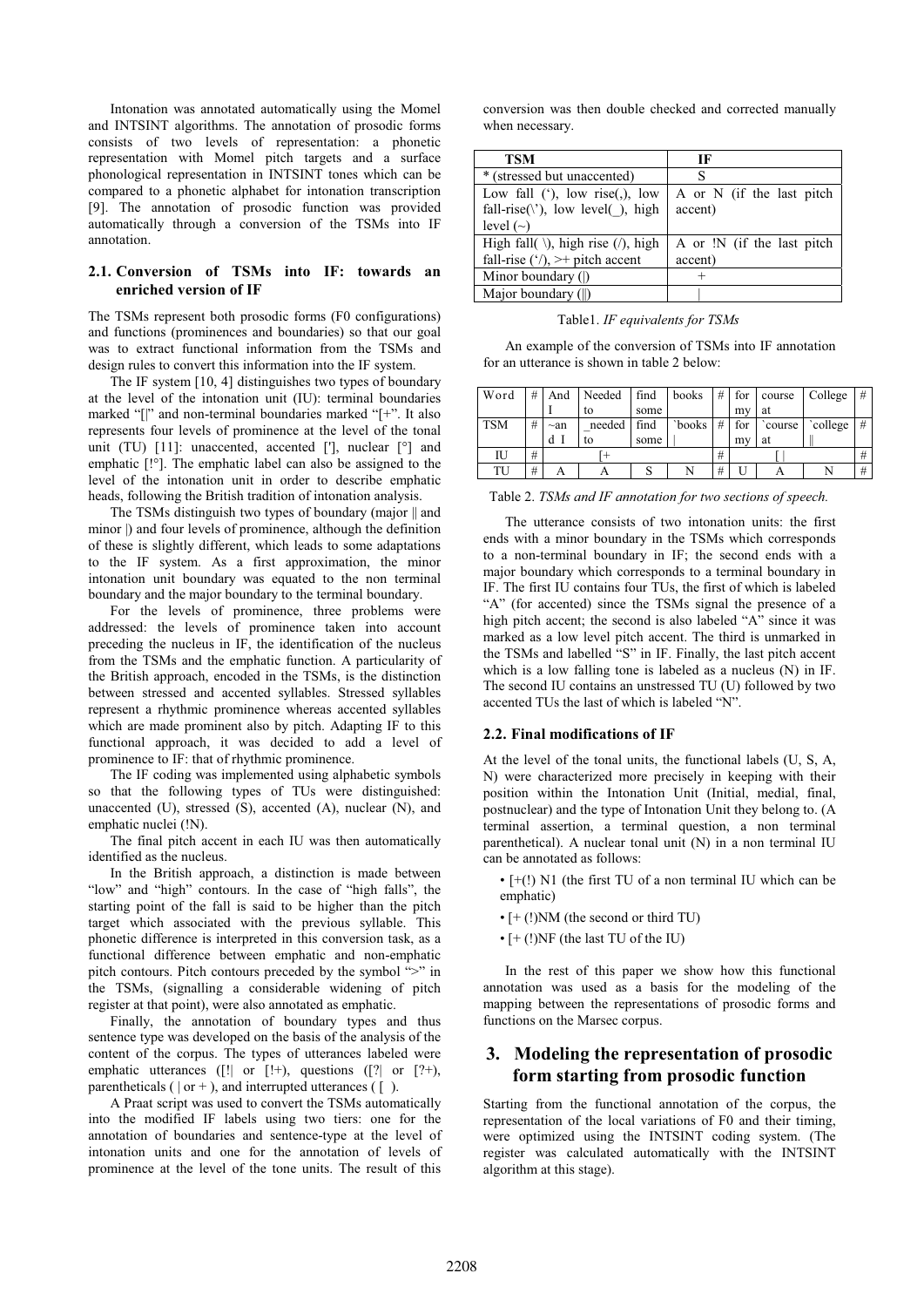Intonation was annotated automatically using the Momel and INTSINT algorithms. The annotation of prosodic forms consists of two levels of representation: a phonetic representation with Momel pitch targets and a surface phonological representation in INTSINT tones which can be compared to a phonetic alphabet for intonation transcription [9]. The annotation of prosodic function was provided automatically through a conversion of the TSMs into IF annotation.

## **2.1. Conversion of TSMs into IF: towards an enriched version of IF**

The TSMs represent both prosodic forms (F0 configurations) and functions (prominences and boundaries) so that our goal was to extract functional information from the TSMs and design rules to convert this information into the IF system.

The IF system [10, 4] distinguishes two types of boundary at the level of the intonation unit (IU): terminal boundaries marked "[|" and non-terminal boundaries marked "[+". It also represents four levels of prominence at the level of the tonal unit (TU) [11]: unaccented, accented ['], nuclear [°] and emphatic [!°]. The emphatic label can also be assigned to the level of the intonation unit in order to describe emphatic heads, following the British tradition of intonation analysis.

The TSMs distinguish two types of boundary (major || and minor  $\vert$ ) and four levels of prominence, although the definition of these is slightly different, which leads to some adaptations to the IF system. As a first approximation, the minor intonation unit boundary was equated to the non terminal boundary and the major boundary to the terminal boundary.

For the levels of prominence, three problems were addressed: the levels of prominence taken into account preceding the nucleus in IF, the identification of the nucleus from the TSMs and the emphatic function. A particularity of the British approach, encoded in the TSMs, is the distinction between stressed and accented syllables. Stressed syllables represent a rhythmic prominence whereas accented syllables which are made prominent also by pitch. Adapting IF to this functional approach, it was decided to add a level of prominence to IF: that of rhythmic prominence.

The IF coding was implemented using alphabetic symbols so that the following types of TUs were distinguished: unaccented (U), stressed (S), accented (A), nuclear (N), and emphatic nuclei (!N).

The final pitch accent in each IU was then automatically identified as the nucleus.

In the British approach, a distinction is made between "low" and "high" contours. In the case of "high falls", the starting point of the fall is said to be higher than the pitch target which associated with the previous syllable. This phonetic difference is interpreted in this conversion task, as a functional difference between emphatic and non-emphatic pitch contours. Pitch contours preceded by the symbol ">" in the TSMs, (signalling a considerable widening of pitch register at that point), were also annotated as emphatic.

Finally, the annotation of boundary types and thus sentence type was developed on the basis of the analysis of the content of the corpus. The types of utterances labeled were emphatic utterances ([!| or [!+), questions ([?| or [?+), parentheticals  $( | or + )$ , and interrupted utterances  $( | )$ .

A Praat script was used to convert the TSMs automatically into the modified IF labels using two tiers: one for the annotation of boundaries and sentence-type at the level of intonation units and one for the annotation of levels of prominence at the level of the tone units. The result of this

conversion was then double checked and corrected manually when necessary.

| <b>TSM</b>                                              | IF                         |
|---------------------------------------------------------|----------------------------|
| * (stressed but unaccented)                             | S                          |
| Low fall $'$ , low rise $($ , low                       | A or N (if the last pitch  |
| fall-rise( $\langle \cdot \rangle$ ), low level(), high | accent)                    |
| level $(\sim)$                                          |                            |
| High fall( $\setminus$ ), high rise (/), high           | A or !N (if the last pitch |
| fall-rise $(\cdot')$ , $\rightarrow$ pitch accent       | accent)                    |
| Minor boundary ( )                                      |                            |
| Major boundary (  )                                     |                            |

Table1. *IF equivalents for TSMs* 

An example of the conversion of TSMs into IF annotation for an utterance is shown in table 2 below:

| Word       | # | And       | Needed | find | books  | # | for | course | College | # |
|------------|---|-----------|--------|------|--------|---|-----|--------|---------|---|
|            |   |           | to     | some |        |   | my  | at     |         |   |
| <b>TSM</b> | # | $\sim$ an | needed | find | `books | # | for | course | college | # |
|            |   | d         | to     | some |        |   | my  | at     |         |   |
| ΙU         | # |           |        |      |        | # |     |        |         | # |
| TU         | # |           |        |      |        | # |     |        |         | # |

Table 2. *TSMs and IF annotation for two sections of speech.* 

The utterance consists of two intonation units: the first ends with a minor boundary in the TSMs which corresponds to a non-terminal boundary in IF; the second ends with a major boundary which corresponds to a terminal boundary in IF. The first IU contains four TUs, the first of which is labeled "A" (for accented) since the TSMs signal the presence of a high pitch accent; the second is also labeled "A" since it was marked as a low level pitch accent. The third is unmarked in the TSMs and labelled "S" in IF. Finally, the last pitch accent which is a low falling tone is labeled as a nucleus (N) in IF. The second IU contains an unstressed TU (U) followed by two accented TUs the last of which is labeled "N".

#### **2.2. Final modifications of IF**

At the level of the tonal units, the functional labels (U, S, A, N) were characterized more precisely in keeping with their position within the Intonation Unit (Initial, medial, final, postnuclear) and the type of Intonation Unit they belong to. (A terminal assertion, a terminal question, a non terminal parenthetical). A nuclear tonal unit (N) in a non terminal IU can be annotated as follows:

- [+(!) N1 (the first TU of a non terminal IU which can be emphatic)
- [+ (!)NM (the second or third TU)
- [+ (!)NF (the last TU of the IU)

In the rest of this paper we show how this functional annotation was used as a basis for the modeling of the mapping between the representations of prosodic forms and functions on the Marsec corpus.

# **3. Modeling the representation of prosodic form starting from prosodic function**

Starting from the functional annotation of the corpus, the representation of the local variations of F0 and their timing, were optimized using the INTSINT coding system. (The register was calculated automatically with the INTSINT algorithm at this stage).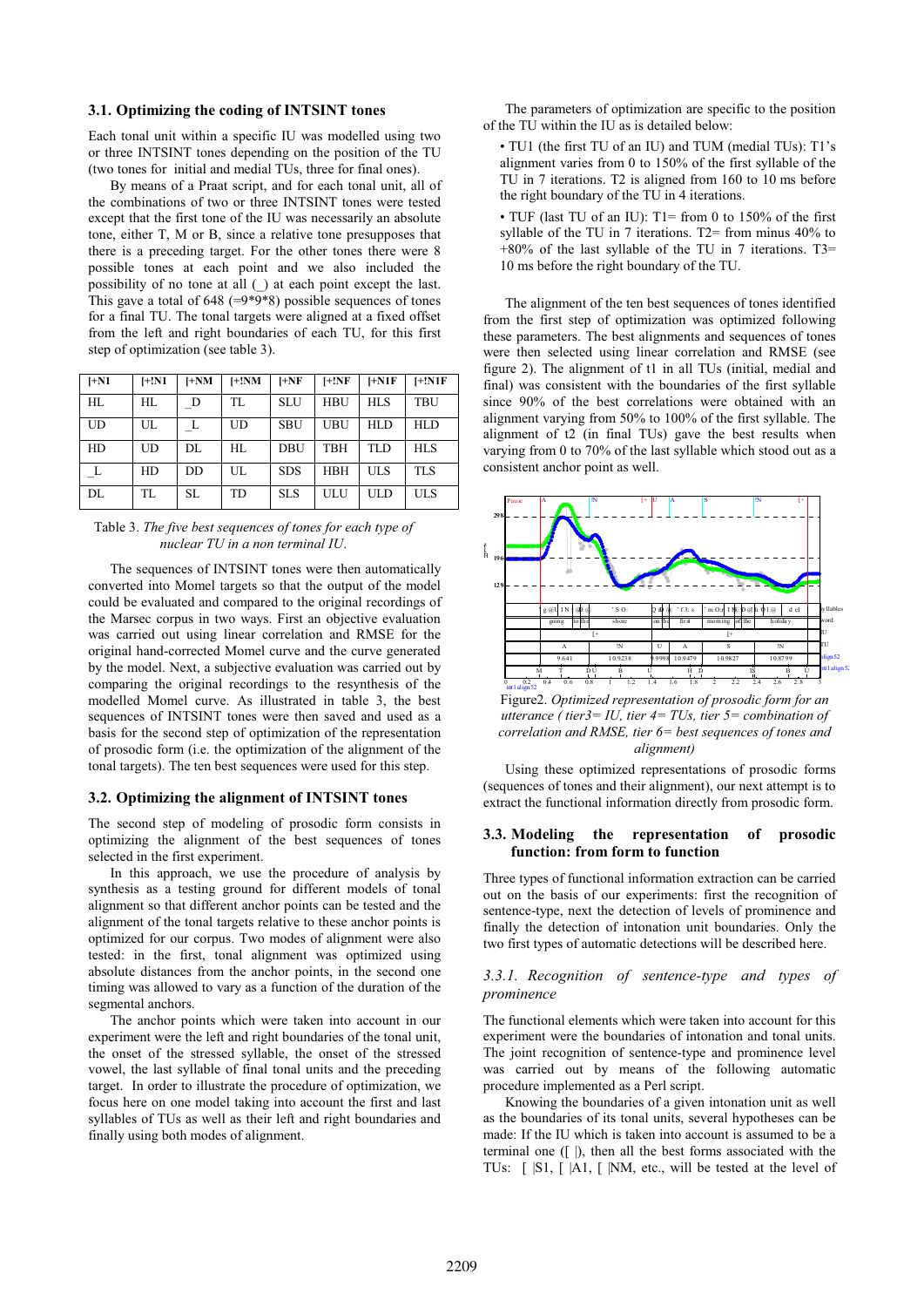## **3.1. Optimizing the coding of INTSINT tones**

Each tonal unit within a specific IU was modelled using two or three INTSINT tones depending on the position of the TU (two tones for initial and medial TUs, three for final ones).

By means of a Praat script, and for each tonal unit, all of the combinations of two or three INTSINT tones were tested except that the first tone of the IU was necessarily an absolute tone, either T, M or B, since a relative tone presupposes that there is a preceding target. For the other tones there were 8 possible tones at each point and we also included the possibility of no tone at all (\_) at each point except the last. This gave a total of 648 ( $=9*9*8$ ) possible sequences of tones for a final TU. The tonal targets were aligned at a fixed offset from the left and right boundaries of each TU, for this first step of optimization (see table 3).

| $[-N1]$ | H:NI      | $I+NM$ | $I+!NM$   | $H + NF$   | H:NF       | $I+NIF$    | $[+!N1F]$  |
|---------|-----------|--------|-----------|------------|------------|------------|------------|
| HL      | HL        | D      | TL        | <b>SLU</b> | <b>HBU</b> | <b>HLS</b> | TBU        |
| UD      | UL        |        | <b>UD</b> | <b>SBU</b> | <b>UBU</b> | HLD        | HLD        |
| HD      | UD        | DL     | HL        | DBU        | <b>TBH</b> | <b>TLD</b> | <b>HLS</b> |
|         | <b>HD</b> | DD     | UL        | <b>SDS</b> | <b>HBH</b> | <b>ULS</b> | <b>TLS</b> |
| DL      | TL        | SL.    | <b>TD</b> | <b>SLS</b> | <b>ULU</b> | <b>ULD</b> | <b>ULS</b> |

Table 3. *The five best sequences of tones for each type of nuclear TU in a non terminal IU*.

The sequences of INTSINT tones were then automatically converted into Momel targets so that the output of the model could be evaluated and compared to the original recordings of the Marsec corpus in two ways. First an objective evaluation was carried out using linear correlation and RMSE for the original hand-corrected Momel curve and the curve generated by the model. Next, a subjective evaluation was carried out by comparing the original recordings to the resynthesis of the modelled Momel curve. As illustrated in table 3, the best sequences of INTSINT tones were then saved and used as a basis for the second step of optimization of the representation of prosodic form (i.e. the optimization of the alignment of the tonal targets). The ten best sequences were used for this step.

#### **3.2. Optimizing the alignment of INTSINT tones**

The second step of modeling of prosodic form consists in optimizing the alignment of the best sequences of tones selected in the first experiment.

In this approach, we use the procedure of analysis by synthesis as a testing ground for different models of tonal alignment so that different anchor points can be tested and the alignment of the tonal targets relative to these anchor points is optimized for our corpus. Two modes of alignment were also tested: in the first, tonal alignment was optimized using absolute distances from the anchor points, in the second one timing was allowed to vary as a function of the duration of the segmental anchors.

The anchor points which were taken into account in our experiment were the left and right boundaries of the tonal unit, the onset of the stressed syllable, the onset of the stressed vowel, the last syllable of final tonal units and the preceding target. In order to illustrate the procedure of optimization, we focus here on one model taking into account the first and last syllables of TUs as well as their left and right boundaries and finally using both modes of alignment.

The parameters of optimization are specific to the position of the TU within the IU as is detailed below:

- TU1 (the first TU of an IU) and TUM (medial TUs): T1's alignment varies from 0 to 150% of the first syllable of the TU in 7 iterations. T2 is aligned from 160 to 10 ms before the right boundary of the TU in 4 iterations.
- TUF (last TU of an IU): T1= from 0 to 150% of the first syllable of the TU in 7 iterations. T2= from minus 40% to  $+80\%$  of the last syllable of the TU in 7 iterations. T3= 10 ms before the right boundary of the TU.

The alignment of the ten best sequences of tones identified from the first step of optimization was optimized following these parameters. The best alignments and sequences of tones were then selected using linear correlation and RMSE (see figure 2). The alignment of t1 in all TUs (initial, medial and final) was consistent with the boundaries of the first syllable since 90% of the best correlations were obtained with an alignment varying from 50% to 100% of the first syllable. The alignment of t2 (in final TUs) gave the best results when varying from 0 to 70% of the last syllable which stood out as a consistent anchor point as well.



Figure2. *Optimized representation of prosodic form for an utterance ( tier3= IU, tier 4= TUs, tier 5= combination of correlation and RMSE, tier 6= best sequences of tones and alignment)* 

Using these optimized representations of prosodic forms (sequences of tones and their alignment), our next attempt is to extract the functional information directly from prosodic form.

#### **3.3. Modeling the representation of prosodic function: from form to function**

Three types of functional information extraction can be carried out on the basis of our experiments: first the recognition of sentence-type, next the detection of levels of prominence and finally the detection of intonation unit boundaries. Only the two first types of automatic detections will be described here.

## *3.3.1. Recognition of sentence-type and types of prominence*

The functional elements which were taken into account for this experiment were the boundaries of intonation and tonal units. The joint recognition of sentence-type and prominence level was carried out by means of the following automatic procedure implemented as a Perl script.

Knowing the boundaries of a given intonation unit as well as the boundaries of its tonal units, several hypotheses can be made: If the IU which is taken into account is assumed to be a terminal one ([ |), then all the best forms associated with the TUs: [ |S1, [ |A1, [ |NM, etc., will be tested at the level of